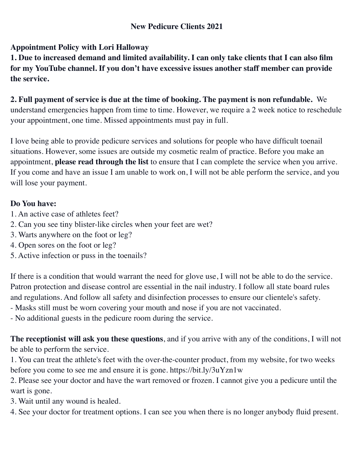# **New Pedicure Clients 2021**

# **Appointment Policy with Lori Halloway**

**1. Due to increased demand and limited availability. I can only take clients that I can also film for my YouTube channel. If you don't have excessive issues another staff member can provide the service.**

# **2. Full payment of service is due at the time of booking. The payment is non refundable.** We understand emergencies happen from time to time. However, we require a 2 week notice to reschedule your appointment, one time. Missed appointments must pay in full.

I love being able to provide pedicure services and solutions for people who have difficult toenail situations. However, some issues are outside my cosmetic realm of practice. Before you make an appointment, **please read through the list** to ensure that I can complete the service when you arrive. If you come and have an issue I am unable to work on, I will not be able perform the service, and you will lose your payment.

### **Do You have:**

- 1. An active case of athletes feet?
- 2. Can you see tiny blister-like circles when your feet are wet?
- 3. Warts anywhere on the foot or leg?
- 4. Open sores on the foot or leg?
- 5. Active infection or puss in the toenails?

If there is a condition that would warrant the need for glove use, I will not be able to do the service. Patron protection and disease control are essential in the nail industry. I follow all state board rules and regulations. And follow all safety and disinfection processes to ensure our clientele's safety.

- Masks still must be worn covering your mouth and nose if you are not vaccinated.
- No additional guests in the pedicure room during the service.

**The receptionist will ask you these questions**, and if you arrive with any of the conditions, I will not be able to perform the service.

1. You can treat the athlete's feet with the over-the-counter product, from my website, for two weeks before you come to see me and ensure it is gone. https://bit.ly/3uYzn1w

2. Please see your doctor and have the wart removed or frozen. I cannot give you a pedicure until the wart is gone.

3. Wait until any wound is healed.

4. See your doctor for treatment options. I can see you when there is no longer anybody fluid present.